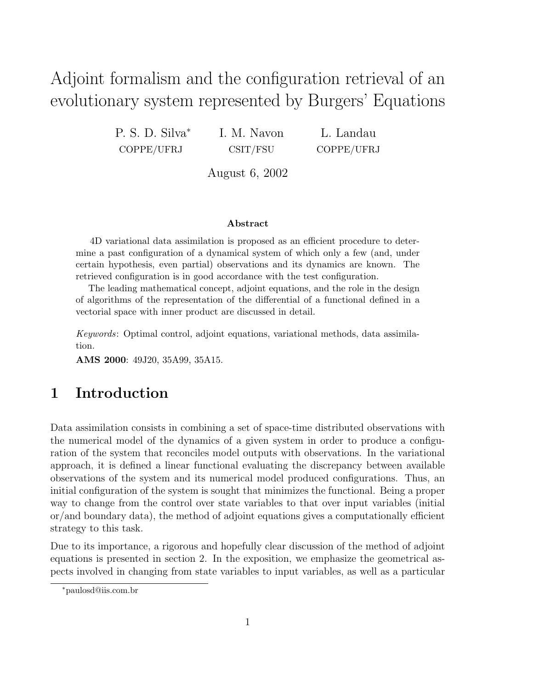# Adjoint formalism and the configuration retrieval of an evolutionary system represented by Burgers' Equations

P. S. D. Silva<sup>∗</sup> COPPE/UFRJ I. M. Navon CSIT/FSU

L. Landau COPPE/UFRJ

August 6, 2002

#### Abstract

4D variational data assimilation is proposed as an efficient procedure to determine a past configuration of a dynamical system of which only a few (and, under certain hypothesis, even partial) observations and its dynamics are known. The retrieved configuration is in good accordance with the test configuration.

The leading mathematical concept, adjoint equations, and the role in the design of algorithms of the representation of the differential of a functional defined in a vectorial space with inner product are discussed in detail.

Keywords: Optimal control, adjoint equations, variational methods, data assimilation.

AMS 2000: 49J20, 35A99, 35A15.

# 1 Introduction

Data assimilation consists in combining a set of space-time distributed observations with the numerical model of the dynamics of a given system in order to produce a configuration of the system that reconciles model outputs with observations. In the variational approach, it is defined a linear functional evaluating the discrepancy between available observations of the system and its numerical model produced configurations. Thus, an initial configuration of the system is sought that minimizes the functional. Being a proper way to change from the control over state variables to that over input variables (initial or/and boundary data), the method of adjoint equations gives a computationally efficient strategy to this task.

Due to its importance, a rigorous and hopefully clear discussion of the method of adjoint equations is presented in section 2. In the exposition, we emphasize the geometrical aspects involved in changing from state variables to input variables, as well as a particular

<sup>∗</sup>paulosd@iis.com.br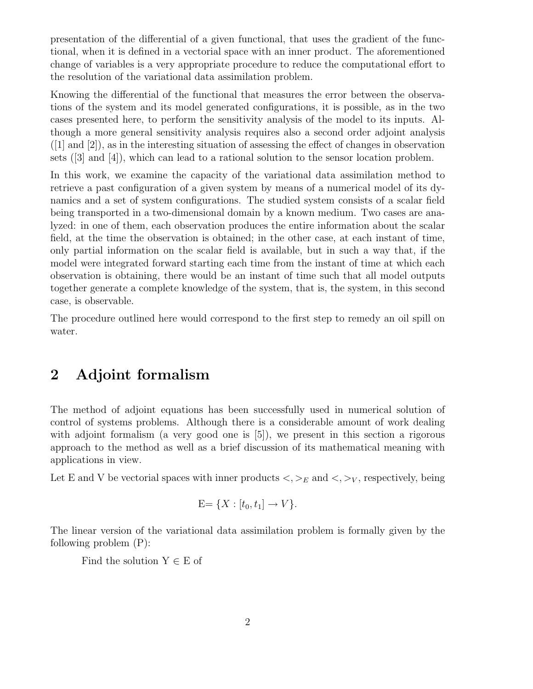presentation of the differential of a given functional, that uses the gradient of the functional, when it is defined in a vectorial space with an inner product. The aforementioned change of variables is a very appropriate procedure to reduce the computational effort to the resolution of the variational data assimilation problem.

Knowing the differential of the functional that measures the error between the observations of the system and its model generated configurations, it is possible, as in the two cases presented here, to perform the sensitivity analysis of the model to its inputs. Although a more general sensitivity analysis requires also a second order adjoint analysis  $([1]$  and  $[2]$ ), as in the interesting situation of assessing the effect of changes in observation sets ([3] and [4]), which can lead to a rational solution to the sensor location problem.

In this work, we examine the capacity of the variational data assimilation method to retrieve a past configuration of a given system by means of a numerical model of its dynamics and a set of system configurations. The studied system consists of a scalar field being transported in a two-dimensional domain by a known medium. Two cases are analyzed: in one of them, each observation produces the entire information about the scalar field, at the time the observation is obtained; in the other case, at each instant of time, only partial information on the scalar field is available, but in such a way that, if the model were integrated forward starting each time from the instant of time at which each observation is obtaining, there would be an instant of time such that all model outputs together generate a complete knowledge of the system, that is, the system, in this second case, is observable.

The procedure outlined here would correspond to the first step to remedy an oil spill on water.

# 2 Adjoint formalism

The method of adjoint equations has been successfully used in numerical solution of control of systems problems. Although there is a considerable amount of work dealing with adjoint formalism (a very good one is [5]), we present in this section a rigorous approach to the method as well as a brief discussion of its mathematical meaning with applications in view.

Let E and V be vectorial spaces with inner products  $\langle \cdot, \cdot \rangle_E$  and  $\langle \cdot, \cdot \rangle_V$ , respectively, being

$$
E = \{X : [t_0, t_1] \to V\}.
$$

The linear version of the variational data assimilation problem is formally given by the following problem (P):

Find the solution  $Y \in E$  of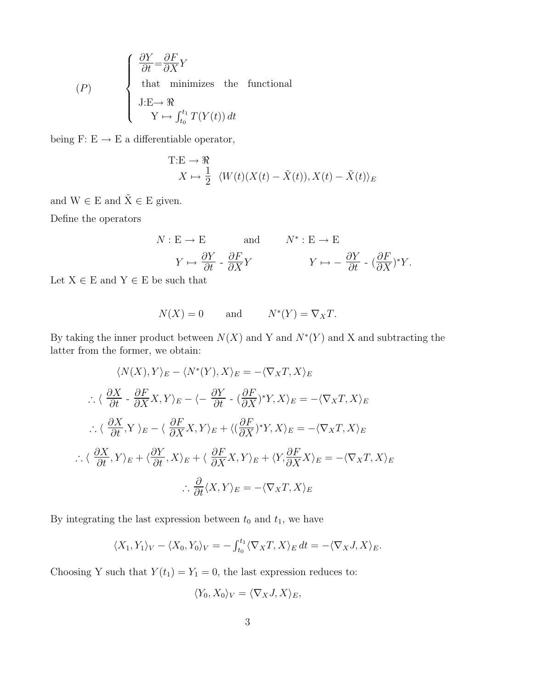$$
(P) \quad \begin{cases} \n\frac{\partial Y}{\partial t} = & \frac{\partial F}{\partial X} Y \\ \n\text{that minimizes the functional} \\ \nJ: E \to \Re \\ \n\text{Y} \mapsto & \int_{t_0}^{t_1} T(Y(t)) \, dt \n\end{cases}
$$

being F: E  $\rightarrow$  E a differentiable operator,

$$
T:E \to \mathcal{R}
$$
  

$$
X \mapsto \frac{1}{2} \langle W(t)(X(t) - \tilde{X}(t)), X(t) - \tilde{X}(t) \rangle_E
$$

and  $W \in E$  and  $\tilde{X} \in E$  given.

Define the operators

$$
N: E \to E \quad \text{and} \quad N^*: E \to E
$$

$$
Y \mapsto \frac{\partial Y}{\partial t} \cdot \frac{\partial F}{\partial X} Y \quad Y \mapsto -\frac{\partial Y}{\partial t} \cdot (\frac{\partial F}{\partial X})^* Y.
$$

Let  $X \in E$  and  $Y \in E$  be such that

$$
N(X) = 0 \quad \text{and} \quad N^*(Y) = \nabla_X T.
$$

By taking the inner product between  $N(X)$  and Y and  $N^*(Y)$  and X and subtracting the latter from the former, we obtain:

$$
\langle N(X), Y \rangle_E - \langle N^*(Y), X \rangle_E = -\langle \nabla_X T, X \rangle_E
$$
  
\n
$$
\therefore \langle \frac{\partial X}{\partial t} - \frac{\partial F}{\partial X} X, Y \rangle_E - \langle -\frac{\partial Y}{\partial t} - (\frac{\partial F}{\partial X})^* Y, X \rangle_E = -\langle \nabla_X T, X \rangle_E
$$
  
\n
$$
\therefore \langle \frac{\partial X}{\partial t}, Y \rangle_E - \langle \frac{\partial F}{\partial X} X, Y \rangle_E + \langle (\frac{\partial F}{\partial X})^* Y, X \rangle_E = -\langle \nabla_X T, X \rangle_E
$$
  
\n
$$
\therefore \langle \frac{\partial X}{\partial t}, Y \rangle_E + \langle \frac{\partial Y}{\partial t}, X \rangle_E + \langle \frac{\partial F}{\partial X} X, Y \rangle_E + \langle Y, \frac{\partial F}{\partial X} X \rangle_E = -\langle \nabla_X T, X \rangle_E
$$
  
\n
$$
\therefore \frac{\partial}{\partial t} \langle X, Y \rangle_E = -\langle \nabla_X T, X \rangle_E
$$

By integrating the last expression between  $t_0$  and  $t_1$ , we have

$$
\langle X_1, Y_1 \rangle_V - \langle X_0, Y_0 \rangle_V = - \int_{t_0}^{t_1} \langle \nabla_X T, X \rangle_E dt = - \langle \nabla_X J, X \rangle_E.
$$

Choosing Y such that  $Y(t_1) = Y_1 = 0$ , the last expression reduces to:

$$
\langle Y_0, X_0 \rangle_V = \langle \nabla_X J, X \rangle_E,
$$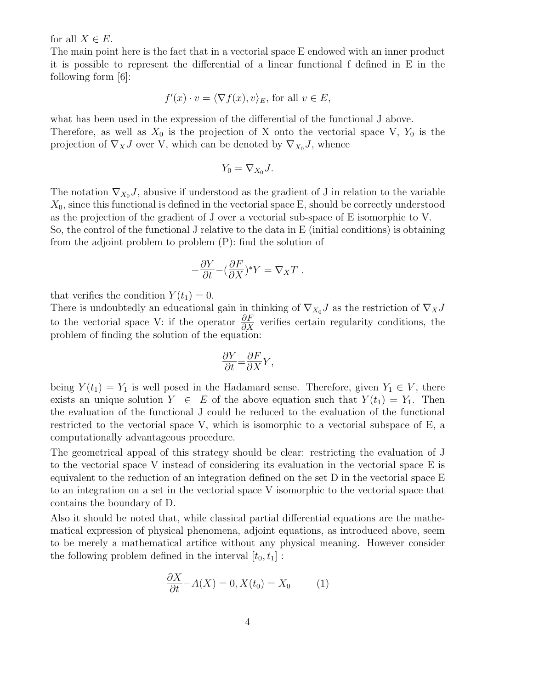for all  $X \in E$ .

The main point here is the fact that in a vectorial space E endowed with an inner product it is possible to represent the differential of a linear functional f defined in E in the following form [6]:

$$
f'(x) \cdot v = \langle \nabla f(x), v \rangle_E
$$
, for all  $v \in E$ ,

what has been used in the expression of the differential of the functional J above. Therefore, as well as  $X_0$  is the projection of X onto the vectorial space V,  $Y_0$  is the projection of  $\nabla_X J$  over V, which can be denoted by  $\nabla_{X_0} J$ , whence

$$
Y_0 = \nabla_{X_0} J.
$$

The notation  $\nabla_{X_0} J$ , abusive if understood as the gradient of J in relation to the variable  $X_0$ , since this functional is defined in the vectorial space E, should be correctly understood as the projection of the gradient of J over a vectorial sub-space of E isomorphic to V. So, the control of the functional J relative to the data in E (initial conditions) is obtaining from the adjoint problem to problem (P): find the solution of

$$
-\frac{\partial Y}{\partial t}-(\frac{\partial F}{\partial X})^*Y=\nabla_XT\ .
$$

that verifies the condition  $Y(t_1) = 0$ .

There is undoubtedly an educational gain in thinking of  $\nabla_{X_0} J$  as the restriction of  $\nabla_X J$ to the vectorial space V: if the operator  $\frac{\partial F}{\partial X}$  verifies certain regularity conditions, the problem of finding the solution of the equation:

$$
\frac{\partial Y}{\partial t} {=} \frac{\partial F}{\partial X} Y,
$$

being  $Y(t_1) = Y_1$  is well posed in the Hadamard sense. Therefore, given  $Y_1 \in V$ , there exists an unique solution  $Y \in E$  of the above equation such that  $Y(t_1) = Y_1$ . Then the evaluation of the functional J could be reduced to the evaluation of the functional restricted to the vectorial space V, which is isomorphic to a vectorial subspace of E, a computationally advantageous procedure.

The geometrical appeal of this strategy should be clear: restricting the evaluation of J to the vectorial space V instead of considering its evaluation in the vectorial space E is equivalent to the reduction of an integration defined on the set D in the vectorial space E to an integration on a set in the vectorial space V isomorphic to the vectorial space that contains the boundary of D.

Also it should be noted that, while classical partial differential equations are the mathematical expression of physical phenomena, adjoint equations, as introduced above, seem to be merely a mathematical artifice without any physical meaning. However consider the following problem defined in the interval  $[t_0, t_1]$ :

$$
\frac{\partial X}{\partial t} - A(X) = 0, X(t_0) = X_0 \tag{1}
$$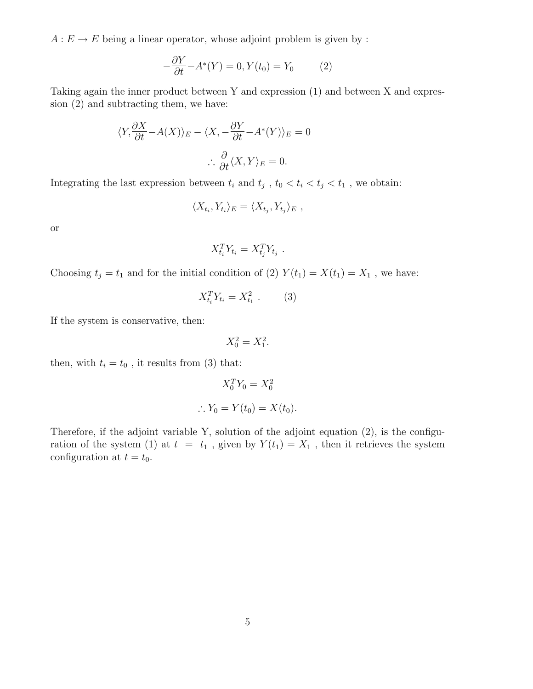$A: E \to E$  being a linear operator, whose adjoint problem is given by :

$$
-\frac{\partial Y}{\partial t} - A^*(Y) = 0, Y(t_0) = Y_0 \tag{2}
$$

Taking again the inner product between Y and expression (1) and between X and expression (2) and subtracting them, we have:

$$
\langle Y, \frac{\partial X}{\partial t} - A(X) \rangle_E - \langle X, -\frac{\partial Y}{\partial t} - A^*(Y) \rangle_E = 0
$$
  

$$
\therefore \frac{\partial}{\partial t} \langle X, Y \rangle_E = 0.
$$

Integrating the last expression between  $t_i$  and  $t_j$ ,  $t_0 < t_i < t_j < t_1$ , we obtain:

$$
\langle X_{t_i}, Y_{t_i} \rangle_E = \langle X_{t_j}, Y_{t_j} \rangle_E ,
$$

or

$$
X_{t_i}^T Y_{t_i} = X_{t_j}^T Y_{t_j} .
$$

Choosing  $t_j = t_1$  and for the initial condition of (2)  $Y(t_1) = X(t_1) = X_1$ , we have:

$$
X_{t_i}^T Y_{t_i} = X_{t_1}^2 \t . \t (3)
$$

If the system is conservative, then:

 $X_0^2 = X_1^2$ .

then, with  $t_i = t_0$ , it results from (3) that:

$$
X_0^T Y_0 = X_0^2
$$
  

$$
\therefore Y_0 = Y(t_0) = X(t_0).
$$

Therefore, if the adjoint variable Y, solution of the adjoint equation (2), is the configuration of the system (1) at  $t = t_1$ , given by  $Y(t_1) = X_1$ , then it retrieves the system configuration at  $t = t_0$ .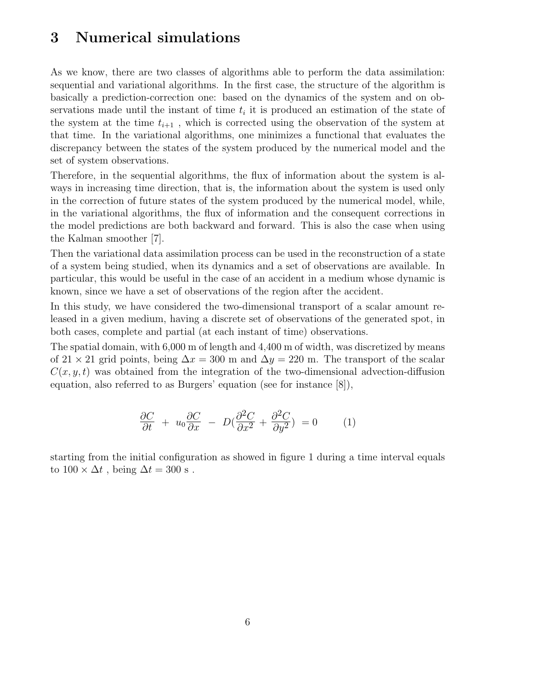#### 3 Numerical simulations

As we know, there are two classes of algorithms able to perform the data assimilation: sequential and variational algorithms. In the first case, the structure of the algorithm is basically a prediction-correction one: based on the dynamics of the system and on observations made until the instant of time  $t_i$  it is produced an estimation of the state of the system at the time  $t_{i+1}$ , which is corrected using the observation of the system at that time. In the variational algorithms, one minimizes a functional that evaluates the discrepancy between the states of the system produced by the numerical model and the set of system observations.

Therefore, in the sequential algorithms, the flux of information about the system is always in increasing time direction, that is, the information about the system is used only in the correction of future states of the system produced by the numerical model, while, in the variational algorithms, the flux of information and the consequent corrections in the model predictions are both backward and forward. This is also the case when using the Kalman smoother [7].

Then the variational data assimilation process can be used in the reconstruction of a state of a system being studied, when its dynamics and a set of observations are available. In particular, this would be useful in the case of an accident in a medium whose dynamic is known, since we have a set of observations of the region after the accident.

In this study, we have considered the two-dimensional transport of a scalar amount released in a given medium, having a discrete set of observations of the generated spot, in both cases, complete and partial (at each instant of time) observations.

The spatial domain, with 6,000 m of length and 4,400 m of width, was discretized by means of 21 × 21 grid points, being  $\Delta x = 300$  m and  $\Delta y = 220$  m. The transport of the scalar  $C(x, y, t)$  was obtained from the integration of the two-dimensional advection-diffusion equation, also referred to as Burgers' equation (see for instance [8]),

$$
\frac{\partial C}{\partial t} + u_0 \frac{\partial C}{\partial x} - D(\frac{\partial^2 C}{\partial x^2} + \frac{\partial^2 C}{\partial y^2}) = 0 \tag{1}
$$

starting from the initial configuration as showed in figure 1 during a time interval equals to  $100 \times \Delta t$ , being  $\Delta t = 300$  s.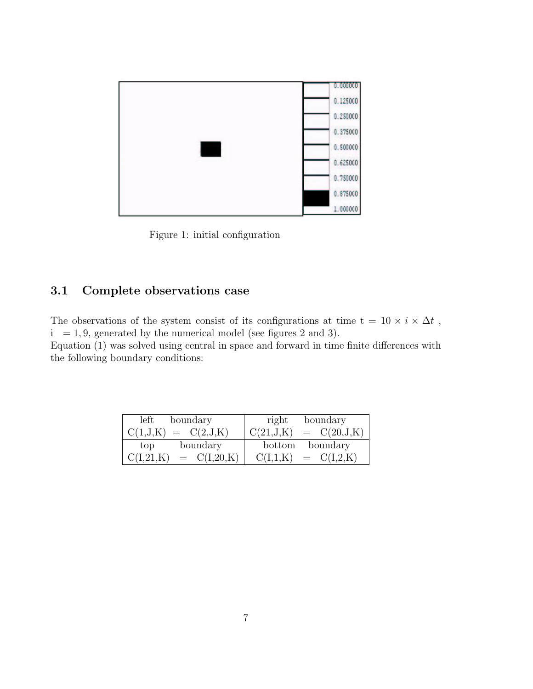

Figure 1: initial configuration

#### 3.1 Complete observations case

The observations of the system consist of its configurations at time  $t = 10 \times i \times \Delta t$ ,  $i = 1, 9$ , generated by the numerical model (see figures 2 and 3). Equation (1) was solved using central in space and forward in time finite differences with the following boundary conditions:

| left                        | right                        |
|-----------------------------|------------------------------|
| boundary                    | boundary                     |
| $C(1, J, K) = C(2, J, K)$   | C(21, J,K)<br>$= C(20, J,K)$ |
| boundary                    | boundary                     |
| top                         | bottom                       |
| C(I,21,K)<br>$= C(I, 20,K)$ | $C(I,1,K) = C(I,2,K)$        |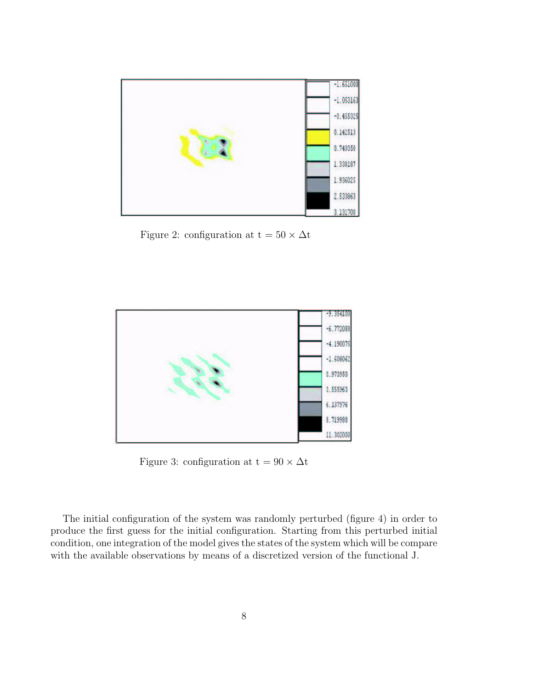

Figure 2: configuration at t =  $50 \times \Delta t$ 



Figure 3: configuration at t =  $90 \times \Delta t$ 

The initial configuration of the system was randomly perturbed (figure 4) in order to produce the first guess for the initial configuration. Starting from this perturbed initial condition, one integration of the model gives the states of the system which will be compare with the available observations by means of a discretized version of the functional J.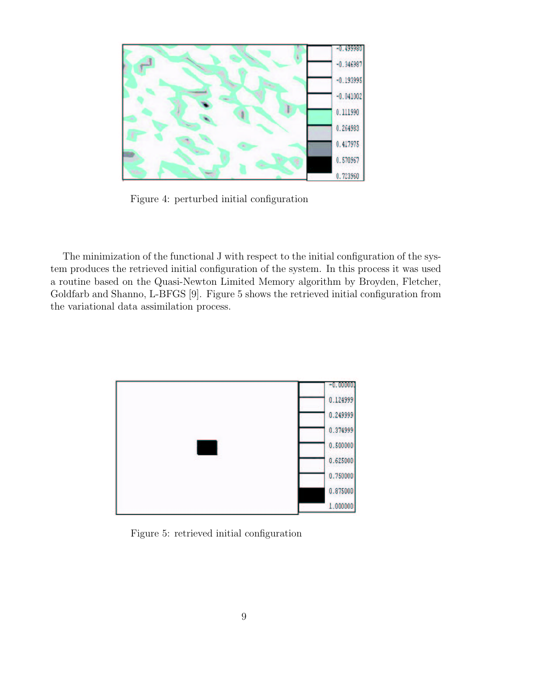

Figure 4: perturbed initial configuration

The minimization of the functional J with respect to the initial configuration of the system produces the retrieved initial configuration of the system. In this process it was used a routine based on the Quasi-Newton Limited Memory algorithm by Broyden, Fletcher, Goldfarb and Shanno, L-BFGS [9]. Figure 5 shows the retrieved initial configuration from the variational data assimilation process.



Figure 5: retrieved initial configuration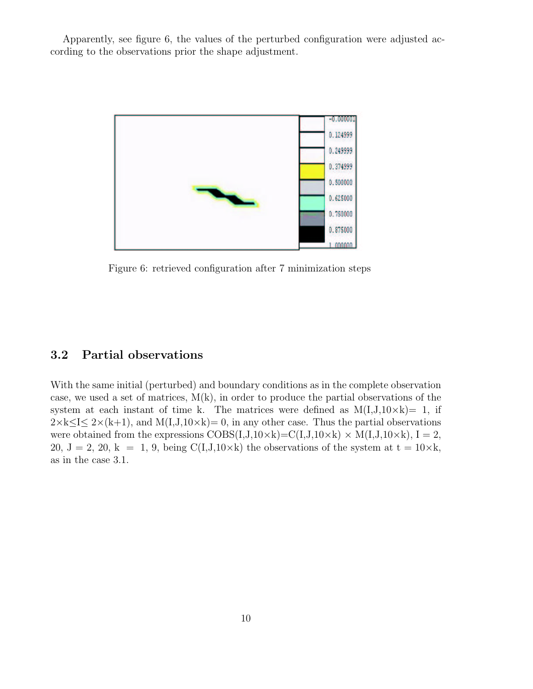Apparently, see figure 6, the values of the perturbed configuration were adjusted according to the observations prior the shape adjustment.



Figure 6: retrieved configuration after 7 minimization steps

#### 3.2 Partial observations

With the same initial (perturbed) and boundary conditions as in the complete observation case, we used a set of matrices,  $M(k)$ , in order to produce the partial observations of the system at each instant of time k. The matrices were defined as  $M(I,J,10\times k)=1$ , if  $2 \times k \leq I \leq 2 \times (k+1)$ , and  $M(I, J, 10 \times k) = 0$ , in any other case. Thus the partial observations were obtained from the expressions  $COBS(I,J,10\times k)=C(I,J,10\times k)\times M(I,J,10\times k), I=2,$ 20,  $J = 2$ , 20,  $k = 1$ , 9, being  $C(I,J,10\times k)$  the observations of the system at  $t = 10\times k$ , as in the case 3.1.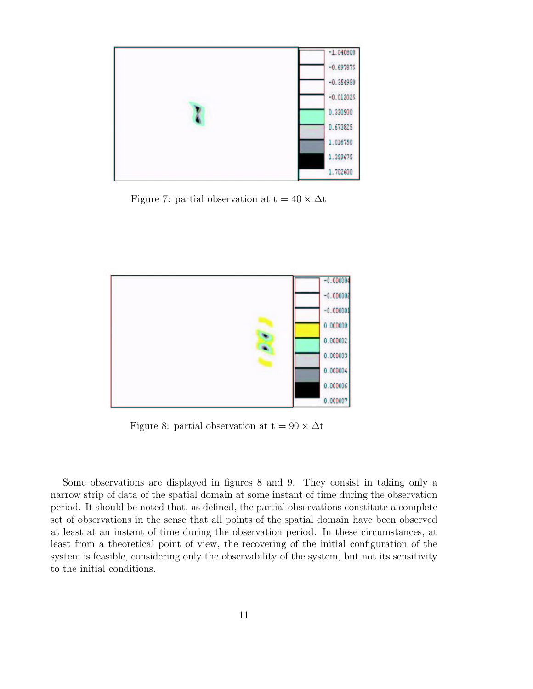

Figure 7: partial observation at  $t = 40 \times \Delta t$ 



Figure 8: partial observation at  $t = 90 \times \Delta t$ 

Some observations are displayed in figures 8 and 9. They consist in taking only a narrow strip of data of the spatial domain at some instant of time during the observation period. It should be noted that, as defined, the partial observations constitute a complete set of observations in the sense that all points of the spatial domain have been observed at least at an instant of time during the observation period. In these circumstances, at least from a theoretical point of view, the recovering of the initial configuration of the system is feasible, considering only the observability of the system, but not its sensitivity to the initial conditions.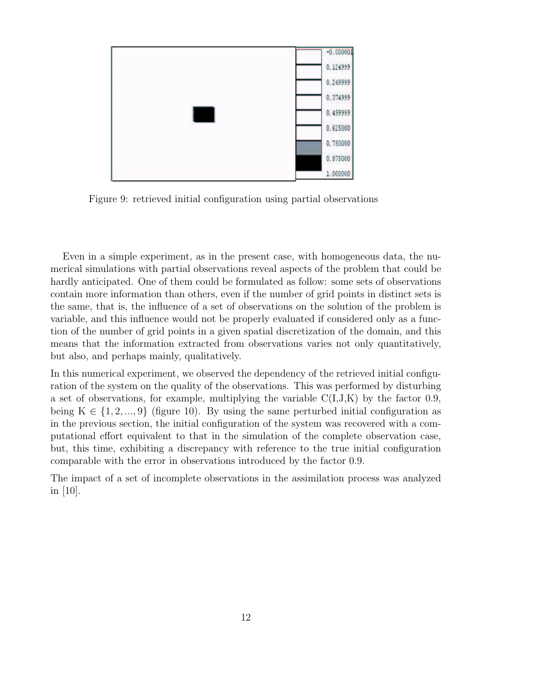

Figure 9: retrieved initial configuration using partial observations

Even in a simple experiment, as in the present case, with homogeneous data, the numerical simulations with partial observations reveal aspects of the problem that could be hardly anticipated. One of them could be formulated as follow: some sets of observations contain more information than others, even if the number of grid points in distinct sets is the same, that is, the influence of a set of observations on the solution of the problem is variable, and this influence would not be properly evaluated if considered only as a function of the number of grid points in a given spatial discretization of the domain, and this means that the information extracted from observations varies not only quantitatively, but also, and perhaps mainly, qualitatively.

In this numerical experiment, we observed the dependency of the retrieved initial configuration of the system on the quality of the observations. This was performed by disturbing a set of observations, for example, multiplying the variable  $C(I,J,K)$  by the factor 0.9, being  $K \in \{1, 2, ..., 9\}$  (figure 10). By using the same perturbed initial configuration as in the previous section, the initial configuration of the system was recovered with a computational effort equivalent to that in the simulation of the complete observation case, but, this time, exhibiting a discrepancy with reference to the true initial configuration comparable with the error in observations introduced by the factor 0.9.

The impact of a set of incomplete observations in the assimilation process was analyzed in [10].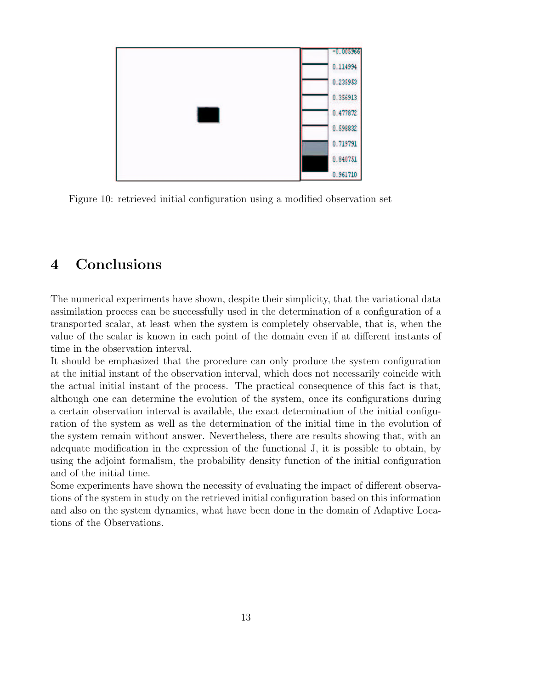

Figure 10: retrieved initial configuration using a modified observation set

# 4 Conclusions

The numerical experiments have shown, despite their simplicity, that the variational data assimilation process can be successfully used in the determination of a configuration of a transported scalar, at least when the system is completely observable, that is, when the value of the scalar is known in each point of the domain even if at different instants of time in the observation interval.

It should be emphasized that the procedure can only produce the system configuration at the initial instant of the observation interval, which does not necessarily coincide with the actual initial instant of the process. The practical consequence of this fact is that, although one can determine the evolution of the system, once its configurations during a certain observation interval is available, the exact determination of the initial configuration of the system as well as the determination of the initial time in the evolution of the system remain without answer. Nevertheless, there are results showing that, with an adequate modification in the expression of the functional J, it is possible to obtain, by using the adjoint formalism, the probability density function of the initial configuration and of the initial time.

Some experiments have shown the necessity of evaluating the impact of different observations of the system in study on the retrieved initial configuration based on this information and also on the system dynamics, what have been done in the domain of Adaptive Locations of the Observations.